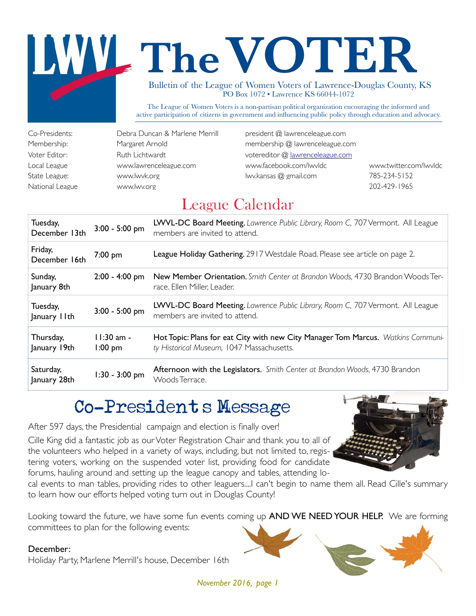# The VOTER

Bulletin of the League of Women Voters of Lawrence-Douglas County, KS PO Box 1072 • Lawrence KS 66044-1072

The League of Women Voters is a non-partisan political organization encouraging the informed and active participation of citizens in government and influencing public policy through education and advocacy.

State League: www.lwvk.org in the lww.kansas @ gmail.com 785-234-5152 National League www.lwv.org 202-429-1965

Co-Presidents: Debra Duncan & Marlene Merrill president @ lawrenceleague.com Membership: Margaret Arnold membership @ lawrenceleague.com Voter Editor: Ruth Lichtwardt votereditor @ lawrenceleague.com Local League www.lawrenceleague.com www.facebook.com/lwvldc www.twitter.com/lwvldc

## League Calendar

| Tuesday,<br>December 13th | 3:00 - 5:00 pm            | LWVL-DC Board Meeting. Lawrence Public Library, Room C, 707 Vermont. All League<br>members are invited to attend.             |
|---------------------------|---------------------------|-------------------------------------------------------------------------------------------------------------------------------|
| Friday,<br>December 16th  | 7:00 pm                   | League Holiday Gathering. 2917 Westdale Road. Please see article on page 2.                                                   |
| Sunday,<br>January 8th    | $2:00 - 4:00$ pm          | New Member Orientation. Smith Center at Brandon Woods, 4730 Brandon Woods Ter-<br>race. Ellen Miller, Leader.                 |
| Tuesday,<br>January IIth  | 3:00 - 5:00 pm            | LWVL-DC Board Meeting. Lawrence Public Library, Room C, 707 Vermont. All League<br>members are invited to attend.             |
| Thursday,<br>January 19th | $11:30$ am -<br>$1:00$ pm | Hot Topic: Plans for eat City with new City Manager Tom Marcus. Watkins Communi-<br>ty Historical Museum, 1047 Massachusetts. |
| Saturday,<br>January 28th | 1:30 - 3:00 pm            | Afternoon with the Legislators. Smith Center at Brandon Woods, 4730 Brandon<br>Woods Terrace.                                 |

## Co-President's Message

After 597 days, the Presidential campaign and election is finally over!

Cille King did a fantastic job as our Voter Registration Chair and thank you to all of the volunteers who helped in a variety of ways, including, but not limited to, registering voters, working on the suspended voter list, providing food for candidate forums, hauling around and setting up the league canopy and tables, attending lo-



cal events to man tables, providing rides to other leaguers....I can't begin to name them all. Read Cille's summary to learn how our efforts helped voting turn out in Douglas County!

Looking toward the future, we have some fun events coming up AND WE NEED YOUR HELP. We are forming committees to plan for the following events:

#### December:

Holiday Party, Marlene Merrill's house, December 16th

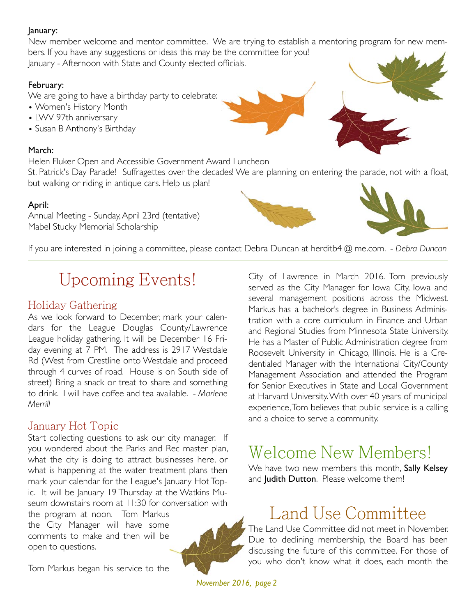#### January:

New member welcome and mentor committee. We are trying to establish a mentoring program for new members. If you have any suggestions or ideas this may be the committee for you! January - Afternoon with State and County elected officials.

#### February:

We are going to have a birthday party to celebrate:

- Women's History Month
- LWV 97th anniversary
- Susan B Anthony's Birthday

#### March:

Helen Fluker Open and Accessible Government Award Luncheon

St. Patrick's Day Parade! Suffragettes over the decades! We are planning on entering the parade, not with a float, but walking or riding in antique cars. Help us plan!

#### April:

Annual Meeting - Sunday, April 23rd (tentative) Mabel Stucky Memorial Scholarship



## Upcoming Events!

#### Holiday Gathering

As we look forward to December, mark your calendars for the League Douglas County/Lawrence League holiday gathering. It will be December 16 Friday evening at 7 PM. The address is 2917 Westdale Rd (West from Crestline onto Westdale and proceed through 4 curves of road. House is on South side of street) Bring a snack or treat to share and something to drink. I will have coffee and tea available. *- Marlene Merrill*

#### January Hot Topic

Start collecting questions to ask our city manager. If you wondered about the Parks and Rec master plan, what the city is doing to attract businesses here, or what is happening at the water treatment plans then mark your calendar for the League's January Hot Topic. It will be January 19 Thursday at the Watkins Museum downstairs room at 11:30 for conversation with the program at noon. Tom Markus

the City Manager will have some comments to make and then will be open to questions.

Tom Markus began his service to the

City of Lawrence in March 2016. Tom previously served as the City Manager for Iowa City, Iowa and several management positions across the Midwest. Markus has a bachelor's degree in Business Administration with a core curriculum in Finance and Urban and Regional Studies from Minnesota State University. He has a Master of Public Administration degree from Roosevelt University in Chicago, Illinois. He is a Credentialed Manager with the International City/County Management Association and attended the Program for Senior Executives in State and Local Government at Harvard University. With over 40 years of municipal experience, Tom believes that public service is a calling and a choice to serve a community.

## Welcome New Members!

We have two new members this month, Sally Kelsey and Judith Dutton. Please welcome them!

## Land Use Committee

The Land Use Committee did not meet in November. Due to declining membership, the Board has been discussing the future of this committee. For those of you who don't know what it does, each month the

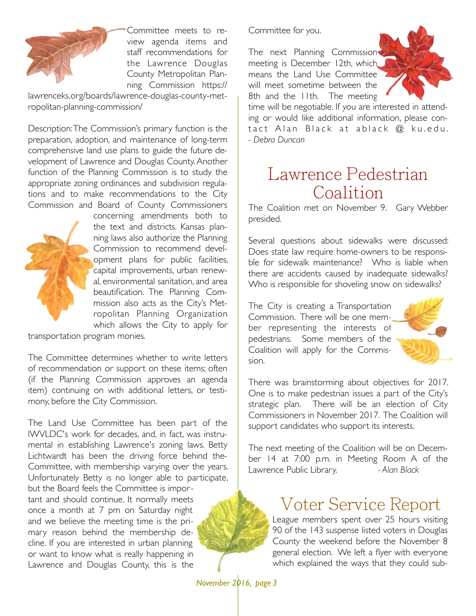

Committee meets to review agenda items and staff recommendations for the Lawrence Douglas County Metropolitan Planning Commission https://

lawrenceks.org/boards/lawrence-douglas-county-metropolitan-planning-commission/

Description: The Commission's primary function is the preparation, adoption, and maintenance of long-term comprehensive land use plans to guide the future development of Lawrence and Douglas County. Another function of the Planning Commission is to study the appropriate zoning ordinances and subdivision regulations and to make recommendations to the City Commission and Board of County Commissioners



concerning amendments both to the text and districts. Kansas planning laws also authorize the Planning Commission to recommend development plans for public facilities, capital improvements, urban renewal, environmental sanitation, and area beautification. The Planning Commission also acts as the City's Metropolitan Planning Organization which allows the City to apply for

transportation program monies.

The Committee determines whether to write letters of recommendation or support on these items; often (if the Planning Commission approves an agenda item) continuing on with additional letters, or testimony, before the City Commission.

The Land Use Committee has been part of the lWVLDC's work for decades, and, in fact, was instrumental in establishing Lawrence's zoning laws. Betty Lichtwardt has been the driving force behind the-Committee, with membership varying over the years. Unfortunately Betty is no longer able to participate, but the Board feels the Committee is important and should continue. It normally meets

once a month at 7 pm on Saturday night, and we believe the meeting time is the primary reason behind the membership decline. If you are interested in urban planning, or want to know what is really happening in Lawrence and Douglas County, this is the

Committee for you.

The next Planning Commission meeting is December 12th, which means the Land Use Committee will meet sometime between the 8th and the 11th. The meeting



time will be negotiable. If you are interested in attending or would like additional information, please contact Alan Black at ablack @ ku.edu. *- Debra Duncan*

## Lawrence Pedestrian Coalition

The Coalition met on November 9. Gary Webber presided.

Several questions about sidewalks were discussed: Does state law require home-owners to be responsible for sidewalk maintenance? Who is liable when there are accidents caused by inadequate sidewalks? Who is responsible for shoveling snow on sidewalks?

The City is creating a Transportation Commission. There will be one member representing the interests of pedestrians. Some members of the Coalition will apply for the Commission.



There was brainstorming about objectives for 2017. One is to make pedestrian issues a part of the City's strategic plan. There will be an election of City Commissioners in November 2017. The Coalition will support candidates who support its interests.

The next meeting of the Coalition will be on December 14 at 7:00 p.m. in Meeting Room A of the Lawrence Public Library. *- Alan Black*

## Voter Service Report

League members spent over 25 hours visiting 90 of the 143 suspense listed voters in Douglas County the weekend before the November 8 general election. We left a flyer with everyone which explained the ways that they could sub-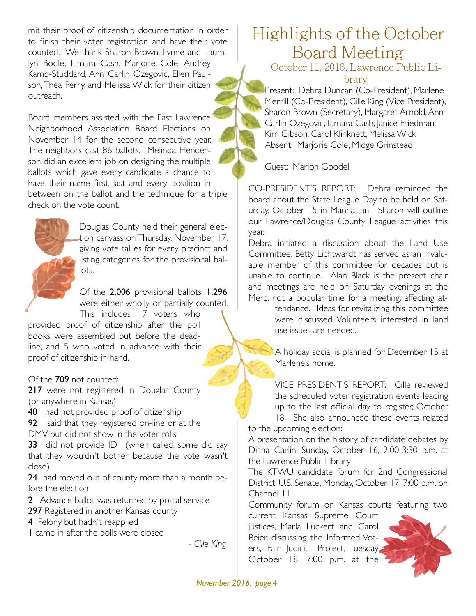mit their proof of citizenship documentation in order to finish their voter registration and have their vote counted. We thank Sharon Brown, Lynne and Lauralyn Bodle, Tamara Cash, Marjorie Cole, Audrey Kamb-Studdard, Ann Carlin Ozegovic, Ellen Paulson, Thea Perry, and Melissa Wick for their citizen outreach.

Board members assisted with the East Lawrence Neighborhood Association Board Elections on November 14 for the second consecutive year. The neighbors cast 86 ballots. Melinda Henderson did an excellent job on designing the multiple ballots which gave every candidate a chance to have their name first, last and every position in between on the ballot and the technique for a triple check on the vote count.



Douglas County held their general election canvass on Thursday, November 17, giving vote tallies for every precinct and listing categories for the provisional ballots.

Of the 2,006 provisional ballots, 1,296 were either wholly or partially counted. This includes 17 voters who

provided proof of citizenship after the poll books were assembled but before the deadline, and 5 who voted in advance with their proof of citizenship in hand.

Of the 709 not counted:

217 were not registered in Douglas County (or anywhere in Kansas)

40 had not provided proof of citizenship

92 said that they registered on-line or at the DMV but did not show in the voter rolls

33 did not provide ID (when called, some did say that they wouldn't bother because the vote wasn't close)

24 had moved out of county more than a month before the election

2 Advance ballot was returned by postal service

297 Registered in another Kansas county

4 Felony but hadn't reapplied

1 came in after the polls were closed

*- Cille King*

## Highlights of the October Board Meeting

October 11, 2016, Lawrence Public Library

Present: Debra Duncan (Co-President), Marlene Merrill (Co-President), Cille King (Vice President), Sharon Brown (Secretary), Margaret Arnold, Ann Carlin Ozegovic, Tamara Cash, Janice Friedman, Kim Gibson, Carol Klinknett, Melissa Wick Absent: Marjorie Cole, Midge Grinstead

Guest: Marion Goodell

CO-PRESIDENT'S REPORT: Debra reminded the board about the State League Day to be held on Saturday, October 15 in Manhattan. Sharon will outline our Lawrence/Douglas County League activities this year.

Debra initiated a discussion about the Land Use Committee. Betty Lichtwardt has served as an invaluable member of this committee for decades but is unable to continue. Alan Black is the present chair and meetings are held on Saturday evenings at the Merc, not a popular time for a meeting, affecting at-

tendance. Ideas for revitalizing this committee were discussed. Volunteers interested in land use issues are needed.

A holiday social is planned for December 15 at Marlene's home.

VICE PRESIDENT'S REPORT: Cille reviewed the scheduled voter registration events leading up to the last official day to register, October

18. She also announced these events related to the upcoming election:

A presentation on the history of candidate debates by Diana Carlin, Sunday, October 16, 2:00-3:30 p.m. at the Lawrence Public Library

The KTWU candidate forum for 2nd Congressional District, U.S. Senate, Monday, October 17, 7:00 p.m. on Channel 11

Community forum on Kansas courts featuring two current Kansas Supreme Court

justices, Marla Luckert and Carol Beier, discussing the Informed Voters, Fair Judicial Project, Tuesday, October 18, 7:00 p.m. at the

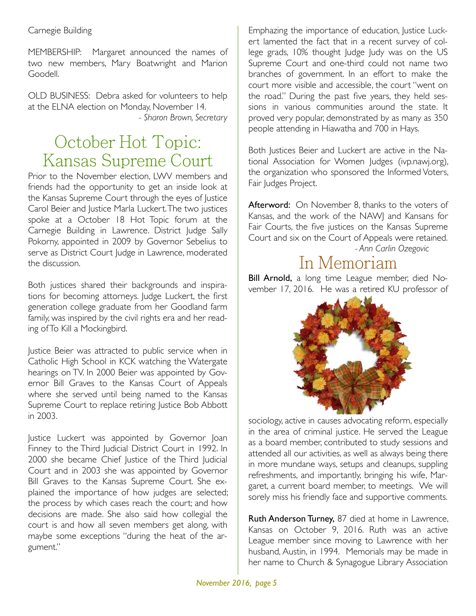MEMBERSHIP: Margaret announced the names of two new members, Mary Boatwright and Marion Goodell.

OLD BUSINESS: Debra asked for volunteers to help at the ELNA election on Monday, November 14.  *- Sharon Brown, Secretary*

## October Hot Topic: Kansas Supreme Court

Prior to the November election, LWV members and friends had the opportunity to get an inside look at the Kansas Supreme Court through the eyes of Justice Carol Beier and Justice Marla Luckert. The two justices spoke at a October 18 Hot Topic forum at the Carnegie Building in Lawrence. District Judge Sally Pokorny, appointed in 2009 by Governor Sebelius to serve as District Court Judge in Lawrence, moderated the discussion.

Both justices shared their backgrounds and inspirations for becoming attorneys. Judge Luckert, the first generation college graduate from her Goodland farm family, was inspired by the civil rights era and her reading of To Kill a Mockingbird.

Justice Beier was attracted to public service when in Catholic High School in KCK watching the Watergate hearings on TV. In 2000 Beier was appointed by Governor Bill Graves to the Kansas Court of Appeals where she served until being named to the Kansas Supreme Court to replace retiring Justice Bob Abbott in 2003.

Justice Luckert was appointed by Governor Joan Finney to the Third Judicial District Court in 1992. In 2000 she became Chief Justice of the Third Judicial Court and in 2003 she was appointed by Governor Bill Graves to the Kansas Supreme Court. She explained the importance of how judges are selected; the process by which cases reach the court; and how decisions are made. She also said how collegial the court is and how all seven members get along, with maybe some exceptions "during the heat of the argument."

Emphazing the importance of education, Justice Luckert lamented the fact that in a recent survey of college grads, 10% thought Judge Judy was on the US Supreme Court and one-third could not name two branches of government. In an effort to make the court more visible and accessible, the court "went on the road." During the past five years, they held sessions in various communities around the state. It proved very popular, demonstrated by as many as 350 people attending in Hiawatha and 700 in Hays.

Both Justices Beier and Luckert are active in the National Association for Women Judges (ivp.nawj.org), the organization who sponsored the Informed Voters, Fair Judges Project.

Afterword: On November 8, thanks to the voters of Kansas, and the work of the NAWJ and Kansans for Fair Courts, the five justices on the Kansas Supreme Court and six on the Court of Appeals were retained.

 *- Ann Carlin Ozegovic*

#### In Memoriam

Bill Arnold, a long time League member, died November 17, 2016. He was a retired KU professor of



sociology, active in causes advocating reform, especially in the area of criminal justice. He served the League as a board member, contributed to study sessions and attended all our activities, as well as always being there in more mundane ways, setups and cleanups, suppling refreshments, and importantly, bringing his wife, Margaret, a current board member, to meetings. We will sorely miss his friendly face and supportive comments.

Ruth Anderson Turney, 87 died at home in Lawrence, Kansas on October 9, 2016. Ruth was an active League member since moving to Lawrence with her husband, Austin, in 1994. Memorials may be made in her name to Church & Synagogue Library Association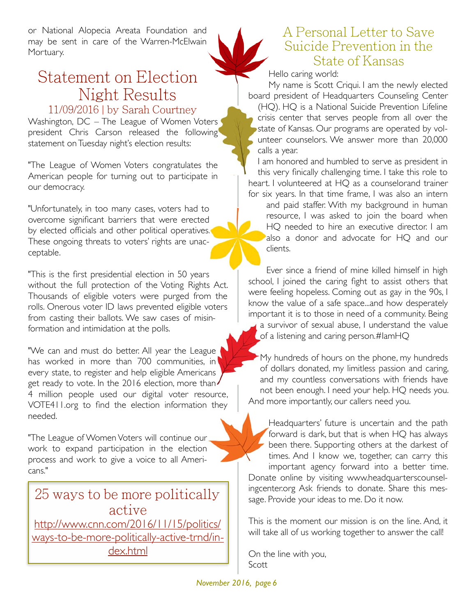or National Alopecia Areata Foundation and may be sent in care of the Warren-McElwain Mortuary.

#### Statement on Election Night Results 11/09/2016 | by Sarah Courtney

Washington, DC – The League of Women Voters president Chris Carson released the following statement on Tuesday night's election results:

"The League of Women Voters congratulates the American people for turning out to participate in our democracy.

"Unfortunately, in too many cases, voters had to overcome significant barriers that were erected by elected officials and other political operatives. These ongoing threats to voters' rights are unacceptable.

"This is the first presidential election in 50 years without the full protection of the Voting Rights Act. Thousands of eligible voters were purged from the rolls. Onerous voter ID laws prevented eligible voters from casting their ballots. We saw cases of misinformation and intimidation at the polls.

"We can and must do better. All year the League has worked in more than 700 communities, in every state, to register and help eligible Americans get ready to vote. In the 2016 election, more than 4 million people used our digital voter resource, VOTE411.org to find the election information they needed.

"The League of Women Voters will continue our work to expand participation in the election process and work to give a voice to all Americans."

25 ways to be more politically active http://www.cnn.com/2016/11/15/politics/ ways-to-be-more-politically-active-trnd/index.html



#### A Personal Letter to Save Suicide Prevention in the State of Kansas

Hello caring world:

My name is Scott Criqui. I am the newly elected board president of Headquarters Counseling Center (HQ). HQ is a National Suicide Prevention Lifeline crisis center that serves people from all over the state of Kansas. Our programs are operated by volunteer counselors. We answer more than 20,000 calls a year.

I am honored and humbled to serve as president in this very finically challenging time. I take this role to heart. I volunteered at HQ as a counselorand trainer for six years. In that time frame, I was also an intern

and paid staffer. With my background in human resource, I was asked to join the board when HQ needed to hire an executive director. I am also a donor and advocate for HQ and our clients.

Ever since a friend of mine killed himself in high school, I joined the caring fight to assist others that were feeling hopeless. Coming out as gay in the 90s, I know the value of a safe space...and how desperately important it is to those in need of a community. Being a survivor of sexual abuse, I understand the value of a listening and caring person.#IamHQ

My hundreds of hours on the phone, my hundreds of dollars donated, my limitless passion and caring, and my countless conversations with friends have not been enough. I need your help. HQ needs you. And more importantly, our callers need you.

Headquarters' future is uncertain and the path forward is dark, but that is when HQ has always been there. Supporting others at the darkest of times. And I know we, together, can carry this important agency forward into a better time. Donate online by visiting www.headquarterscounselingcenter.org Ask friends to donate. Share this message. Provide your ideas to me. Do it now.

This is the moment our mission is on the line. And, it will take all of us working together to answer the call!

On the line with you, Scott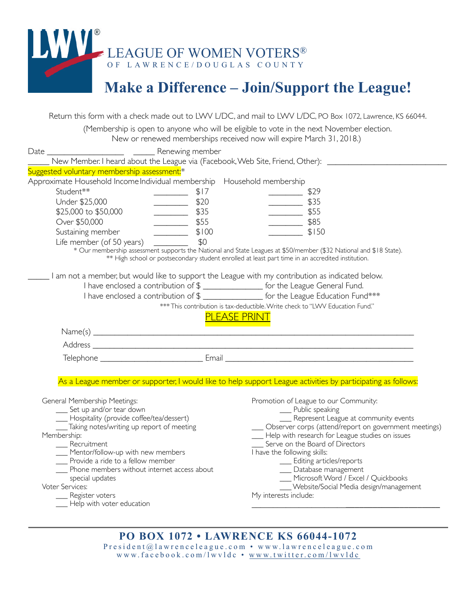

## **Make a Difference – Join/Support the League!**

Return this form with a check made out to LWV L/DC, and mail to LWV L/DC, PO Box 1072, Lawrence, KS 66044. (Membership is open to anyone who will be eligible to vote in the next November election. New or renewed memberships received now will expire March 31, 2018.) Date \_\_\_\_\_\_\_\_\_\_\_\_\_\_\_\_\_\_ \_\_\_\_\_ Renewing member \_\_\_\_\_ New Member. I heard about the League via (Facebook, Web Site, Friend, Other): \_\_\_\_\_\_\_\_\_\_\_\_\_\_\_\_\_\_\_\_\_\_\_\_\_\_\_\_ Suggested voluntary membership assessment:<sup>\*</sup> Approximate Household Income Individual membership Household membership Student\*\* 29 Under \$25,000 \_\_\_\_\_\_\_\_\_\_\_ \$20 \_\_\_\_\_\_\_\_\_ \$35 \$25,000 to \$50,000 \_\_\_\_\_\_\_\_ \$35 \_\_\_\_\_\_\_\_ \$55 Over \$50,000 \_\_\_\_\_\_\_\_ \$55 \_\_\_\_\_\_\_\_ \$85 Sustaining member \_\_\_\_\_\_\_\_\_\_\_\_\_\_ \$100 \_\_\_\_\_\_\_\_\_\_\_\_\_\_\_\_\_ \$150 Life member (of 50 years)  $\frac{1}{2}$  \$0 \* Our membership assessment supports the National and State Leagues at \$50/member (\$32 National and \$18 State). \*\* High school or postsecondary student enrolled at least part time in an accredited institution. \_\_\_\_\_ I am not a member, but would like to support the League with my contribution as indicated below. I have enclosed a contribution of \$ \_\_\_\_\_\_\_\_\_\_\_\_\_\_ for the League General Fund. I have enclosed a contribution of \$ for the League Education Fund\*\*\* \*\*\* This contribution is tax-deductible. Write check to "LWV Education Fund." **PI FASE PRINT** Name(s) \_\_\_\_\_\_\_\_\_\_\_\_\_\_\_\_\_\_\_\_\_\_\_\_\_\_\_\_\_\_\_\_\_\_\_\_\_\_\_\_\_\_\_\_\_\_\_\_\_\_\_\_\_\_\_\_\_\_\_\_\_\_\_\_\_\_\_\_\_\_\_\_\_\_\_ Address \_\_\_\_\_\_\_\_\_\_\_\_\_\_\_\_\_\_\_\_\_\_\_\_\_\_\_\_\_\_\_\_\_\_\_\_\_\_\_\_\_\_\_\_\_\_\_\_\_\_\_\_\_\_\_\_\_\_\_\_\_\_\_\_\_\_\_\_\_\_\_\_\_\_\_ Telephone \_\_\_\_\_\_\_\_\_\_\_\_\_\_\_\_\_\_\_\_\_\_\_\_ Email \_\_\_\_\_\_\_\_\_\_\_\_\_\_\_\_\_\_\_\_\_\_\_\_\_\_\_\_\_\_\_\_\_\_\_\_\_\_\_\_\_\_\_\_ As a League member or supporter, I would like to help support League activities by participating as follows: General Membership Meetings: \_\_\_ Set up and/or tear down \_\_\_ Hospitality (provide coffee/tea/dessert) Taking notes/writing up report of meeting Membership: \_\_\_ Recruitment \_\_\_ Mentor/follow-up with new members \_\_\_ Provide a ride to a fellow member \_\_\_ Phone members without internet access about special updates Voter Services: \_\_\_ Register voters Help with voter education Promotion of League to our Community: \_\_\_ Public speaking \_\_\_ Represent League at community events \_\_\_ Observer corps (attend/report on government meetings) \_\_\_ Help with research for League studies on issues Serve on the Board of Directors I have the following skills: \_\_\_ Editing articles/reports \_\_\_ Database management \_\_\_ Microsoft Word / Excel / Quickbooks \_\_\_ Website/Social Media design/management My interests include: \_\_\_\_\_\_\_\_\_\_\_\_\_\_\_\_\_\_\_\_\_\_\_\_\_\_\_\_\_\_\_\_\_\_\_\_\_\_\_\_\_\_\_